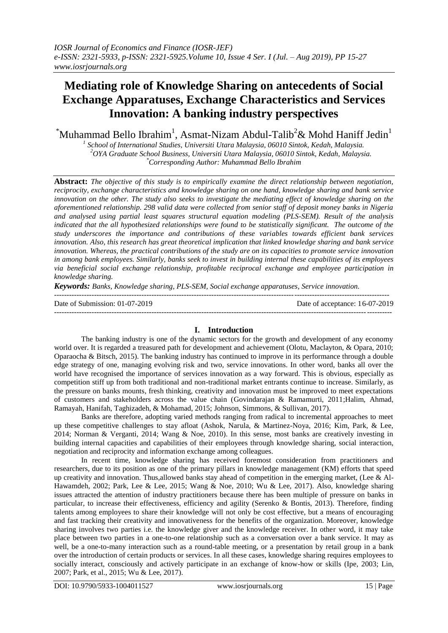# **Mediating role of Knowledge Sharing on antecedents of Social Exchange Apparatuses, Exchange Characteristics and Services Innovation: A banking industry perspectives**

 $^*$ Muhammad Bello Ibrahim<sup>1</sup>, Asmat-Nizam Abdul-Talib<sup>2</sup>& Mohd Haniff Jedin<sup>1</sup>

*1 School of International Studies, Universiti Utara Malaysia, 06010 Sintok, Kedah, Malaysia. <sup>2</sup>OYA Graduate School Business, Universiti Utara Malaysia, 06010 Sintok, Kedah, Malaysia. \*Corresponding Author: Muhammad Bello Ibrahim*

**Abstract:** *The objective of this study is to empirically examine the direct relationship between negotiation, reciprocity, exchange characteristics and knowledge sharing on one hand, knowledge sharing and bank service innovation on the other. The study also seeks to investigate the mediating effect of knowledge sharing on the aforementioned relationship. 298 valid data were collected from senior staff of deposit money banks in Nigeria and analysed using partial least squares structural equation modeling (PLS-SEM). Result of the analysis indicated that the all hypothesized relationships were found to be statistically significant. The outcome of the study underscores the importance and contributions of these variables towards efficient bank services innovation. Also, this research has great theoretical implication that linked knowledge sharing and bank service innovation. Whereas, the practical contributions of the study are on its capacities to promote service innovation in among bank employees. Similarly, banks seek to invest in building internal these capabilities of its employees via beneficial social exchange relationship, profitable reciprocal exchange and employee participation in knowledge sharing.*

*Keywords: Banks, Knowledge sharing, PLS-SEM, Social exchange apparatuses, Service innovation.*

Date of Submission: 01-07-2019 Date of acceptance: 16-07-2019

## **I. Introduction**

--------------------------------------------------------------------------------------------------------------------------------------

The banking industry is one of the dynamic sectors for the growth and development of any economy world over. It is regarded a treasured path for development and achievement (Olotu, Maclayton, & Opara, 2010; Oparaocha & Bitsch, 2015). The banking industry has continued to improve in its performance through a double edge strategy of one, managing evolving risk and two, service innovations. In other word, banks all over the world have recognised the importance of services innovation as a way forward. This is obvious, especially as competition stiff up from both traditional and non-traditional market entrants continue to increase. Similarly, as the pressure on banks mounts, fresh thinking, creativity and innovation must be improved to meet expectations of customers and stakeholders across the value chain (Govindarajan & Ramamurti, 2011;Halim, Ahmad, Ramayah, Hanifah, Taghizadeh, & Mohamad, 2015; Johnson, Simmons, & Sullivan, 2017).

Banks are therefore, adopting varied methods ranging from radical to incremental approaches to meet up these competitive challenges to stay afloat (Ashok, Narula, & Martinez-Noya, 2016; Kim, Park, & Lee, 2014; Norman & Verganti, 2014; Wang & Noe, 2010). In this sense, most banks are creatively investing in building internal capacities and capabilities of their employees through knowledge sharing, social interaction, negotiation and reciprocity and information exchange among colleagues.

In recent time, knowledge sharing has received foremost consideration from practitioners and researchers, due to its position as one of the primary pillars in knowledge management (KM) efforts that speed up creativity and innovation. Thus, allowed banks stay ahead of competition in the emerging market, (Lee  $\&$  Al-Hawamdeh, 2002; Park, Lee & Lee, 2015; Wang & Noe, 2010; Wu & Lee, 2017). Also, knowledge sharing issues attracted the attention of industry practitioners because there has been multiple of pressure on banks in particular, to increase their effectiveness, efficiency and agility (Serenko & Bontis, 2013). Therefore, finding talents among employees to share their knowledge will not only be cost effective, but a means of encouraging and fast tracking their creativity and innovativeness for the benefits of the organization. Moreover, knowledge sharing involves two parties i.e. the knowledge giver and the knowledge receiver. In other word, it may take place between two parties in a one-to-one relationship such as a conversation over a bank service. It may as well, be a one-to-many interaction such as a round-table meeting, or a presentation by retail group in a bank over the introduction of certain products or services. In all these cases, knowledge sharing requires employees to socially interact, consciously and actively participate in an exchange of know-how or skills (Ipe, 2003; Lin, 2007; Park, et al., 2015; Wu & Lee, 2017).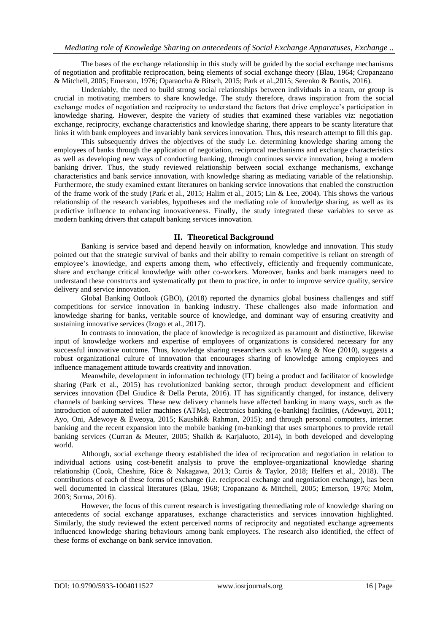The bases of the exchange relationship in this study will be guided by the social exchange mechanisms of negotiation and profitable reciprocation, being elements of social exchange theory (Blau, 1964; Cropanzano & Mitchell, 2005; Emerson, 1976; Oparaocha & Bitsch, 2015; Park et al.,2015; Serenko & Bontis, 2016).

Undeniably, the need to build strong social relationships between individuals in a team, or group is crucial in motivating members to share knowledge. The study therefore, draws inspiration from the social exchange modes of negotiation and reciprocity to understand the factors that drive employee's participation in knowledge sharing. However, despite the variety of studies that examined these variables viz: negotiation exchange, reciprocity, exchange characteristics and knowledge sharing, there appears to be scanty literature that links it with bank employees and invariably bank services innovation. Thus, this research attempt to fill this gap.

This subsequently drives the objectives of the study i.e. determining knowledge sharing among the employees of banks through the application of negotiation, reciprocal mechanisms and exchange characteristics as well as developing new ways of conducting banking, through continues service innovation, being a modern banking driver. Thus, the study reviewed relationship between social exchange mechanisms, exchange characteristics and bank service innovation, with knowledge sharing as mediating variable of the relationship. Furthermore, the study examined extant literatures on banking service innovations that enabled the construction of the frame work of the study (Park et al., 2015; Halim et al., 2015; Lin & Lee, 2004). This shows the various relationship of the research variables, hypotheses and the mediating role of knowledge sharing, as well as its predictive influence to enhancing innovativeness. Finally, the study integrated these variables to serve as modern banking drivers that catapult banking services innovation.

## **II. Theoretical Background**

Banking is service based and depend heavily on information, knowledge and innovation. This study pointed out that the strategic survival of banks and their ability to remain competitive is reliant on strength of employee's knowledge, and experts among them, who effectively, efficiently and frequently communicate, share and exchange critical knowledge with other co-workers. Moreover, banks and bank managers need to understand these constructs and systematically put them to practice, in order to improve service quality, service delivery and service innovation.

Global Banking Outlook (GBO), (2018) reported the dynamics global business challenges and stiff competitions for service innovation in banking industry. These challenges also made information and knowledge sharing for banks, veritable source of knowledge, and dominant way of ensuring creativity and sustaining innovative services (Izogo et al., 2017).

In contrasts to innovation, the place of knowledge is recognized as paramount and distinctive, likewise input of knowledge workers and expertise of employees of organizations is considered necessary for any successful innovative outcome. Thus, knowledge sharing researchers such as Wang & Noe (2010), suggests a robust organizational culture of innovation that encourages sharing of knowledge among employees and influence management attitude towards creativity and innovation.

Meanwhile, development in information technology (IT) being a product and facilitator of knowledge sharing (Park et al., 2015) has revolutionized banking sector, through product development and efficient services innovation (Del Giudice & Della Peruta, 2016). IT has significantly changed, for instance, delivery channels of banking services. These new delivery channels have affected banking in many ways, such as the introduction of automated teller machines (ATMs), electronics banking (e-banking) facilities, (Adewuyi, 2011; Ayo, Oni, Adewoye & Eweoya, 2015; Kaushik& Rahman, 2015); and through personal computers, internet banking and the recent expansion into the mobile banking (m-banking) that uses smartphones to provide retail banking services (Curran & Meuter, 2005; Shaikh & Karjaluoto, 2014), in both developed and developing world.

Although, social exchange theory established the idea of reciprocation and negotiation in relation to individual actions using cost-benefit analysis to prove the employee-organizational knowledge sharing relationship (Cook, Cheshire, Rice & Nakagawa, 2013; Curtis & Taylor, 2018; Helfers et al., 2018). The contributions of each of these forms of exchange (i.e. reciprocal exchange and negotiation exchange), has been well documented in classical literatures (Blau, 1968; Cropanzano & Mitchell, 2005; Emerson, 1976; Molm, 2003; Surma, 2016).

However, the focus of this current research is investigating themediating role of knowledge sharing on antecedents of social exchange apparatuses, exchange characteristics and services innovation highlighted. Similarly, the study reviewed the extent perceived norms of reciprocity and negotiated exchange agreements influenced knowledge sharing behaviours among bank employees. The research also identified, the effect of these forms of exchange on bank service innovation.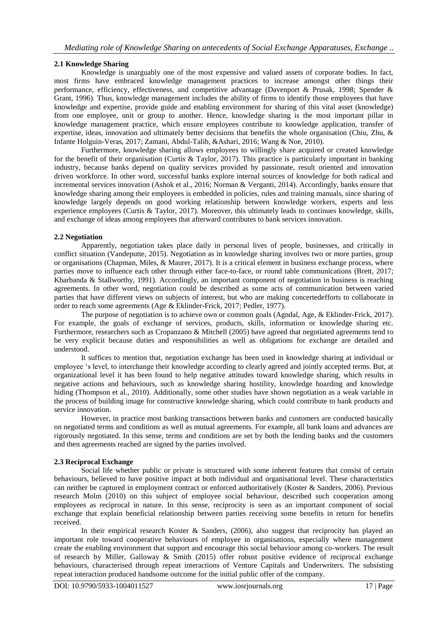## **2.1 Knowledge Sharing**

Knowledge is unarguably one of the most expensive and valued assets of corporate bodies. In fact, most firms have embraced knowledge management practices to increase amongst other things their performance, efficiency, effectiveness, and competitive advantage (Davenport & Prusak, 1998; Spender & Grant, 1996). Thus, knowledge management includes the ability of firms to identify those employees that have knowledge and expertise, provide guide and enabling environment for sharing of this vital asset (knowledge) from one employee, unit or group to another. Hence, knowledge sharing is the most important pillar in knowledge management practice, which ensure employees contribute to knowledge application, transfer of expertise, ideas, innovation and ultimately better decisions that benefits the whole organisation (Chiu, Zhu, & Infante Holguin-Veras, 2017; Zamani, Abdul-Talib, &Ashari, 2016; Wang & Noe, 2010).

Furthermore, knowledge sharing allows employees to willingly share acquired or created knowledge for the benefit of their organisation (Curtis & Taylor, 2017). This practice is particularly important in banking industry, because banks depend on quality services provided by passionate, result oriented and innovation driven workforce. In other word, successful banks explore internal sources of knowledge for both radical and incremental services innovation (Ashok et al., 2016; Norman & Verganti, 2014). Accordingly, banks ensure that knowledge sharing among their employees is embedded in policies, rules and training manuals, since sharing of knowledge largely depends on good working relationship between knowledge workers, experts and less experience employees (Curtis & Taylor, 2017). Moreover, this ultimately leads to continues knowledge, skills, and exchange of ideas among employees that afterward contributes to bank services innovation.

## **2.2 Negotiation**

Apparently, negotiation takes place daily in personal lives of people, businesses, and critically in conflict situation (Vandeputte, 2015). Negotiation as in knowledge sharing involves two or more parties, group or organisations (Chapman, Miles, & Maurer, 2017). It is a critical element in business exchange process, where parties move to influence each other through either face-to-face, or round table communications (Brett, 2017; Kharbanda & Stallworthy, 1991). Accordingly, an important component of negotiation in business is reaching agreements. In other word, negotiation could be described as some acts of communication between varied parties that have different views on subjects of interest, but who are making concertedefforts to collaborate in order to reach some agreements (Age & Eklinder-Frick, 2017; Pedler, 1977).

The purpose of negotiation is to achieve own or common goals (Agndal, Age, & Eklinder-Frick, 2017). For example, the goals of exchange of services, products, skills, information or knowledge sharing etc. Furthermore, researchers such as Cropanzano & Mitchell (2005) have agreed that negotiated agreements tend to be very explicit because duties and responsibilities as well as obligations for exchange are detailed and understood.

It suffices to mention that, negotiation exchange has been used in knowledge sharing at individual or employee 's level, to interchange their knowledge according to clearly agreed and jointly accepted terms. But, at organizational level it has been found to help negative attitudes toward knowledge sharing, which results in negative actions and behaviours, such as knowledge sharing hostility, knowledge hoarding and knowledge hiding (Thompson et al., 2010). Additionally, some other studies have shown negotiation as a weak variable in the process of building image for constructive knowledge sharing, which could contribute to bank products and service innovation.

However, in practice most banking transactions between banks and customers are conducted basically on negotiated terms and conditions as well as mutual agreements. For example, all bank loans and advances are rigorously negotiated. In this sense, terms and conditions are set by both the lending banks and the customers and then agreements reached are signed by the parties involved.

## **2.3 Reciprocal Exchange**

Social life whether public or private is structured with some inherent features that consist of certain behaviours, believed to have positive impact at both individual and organisational level. These characteristics can neither be captured in employment contract or enforced authoritatively (Koster & Sanders, 2006). Previous research Molm (2010) on this subject of employee social behaviour, described such cooperation among employees as reciprocal in nature. In this sense, reciprocity is seen as an important component of social exchange that explain beneficial relationship between parties receiving some benefits in return for benefits received.

In their empirical research Koster & Sanders, (2006), also suggest that reciprocity has played an important role toward cooperative behaviours of employee in organisations, especially where management create the enabling environment that support and encourage this social behaviour among co-workers. The result of research by Miller, Galloway & Smith (2015) offer robust positive evidence of reciprocal exchange behaviours, characterised through repeat interactions of Venture Capitals and Underwriters. The subsisting repeat interaction produced handsome outcome for the initial public offer of the company.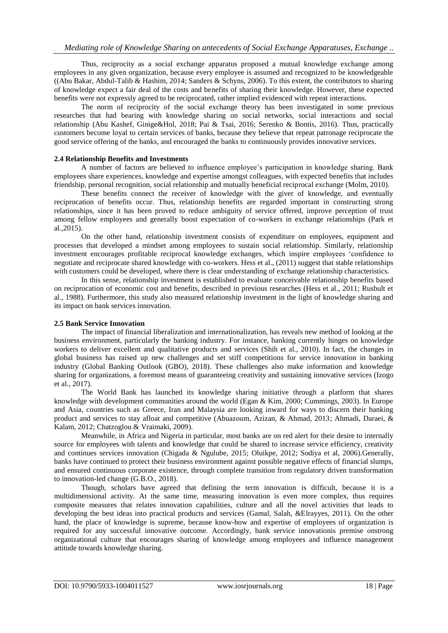Thus, reciprocity as a social exchange apparatus proposed a mutual knowledge exchange among employees in any given organization, because every employee is assumed and recognized to be knowledgeable ((Abu Bakar, Abdul-Talib & Hashim, 2014; Sanders & Schyns, 2006). To this extent, the contributors to sharing of knowledge expect a fair deal of the costs and benefits of sharing their knowledge. However, these expected benefits were not expressly agreed to be reciprocated, rather implied evidenced with repeat interactions.

The norm of reciprocity of the social exchange theory has been investigated in some previous researches that had bearing with knowledge sharing on social networks, social interactions and social relationship (Abu Kashef, Ginige&Hol, 2018; Pai & Tsai, 2016; Serenko & Bontis, 2016). Thus, practically customers become loyal to certain services of banks, because they believe that repeat patronage reciprocate the good service offering of the banks, and encouraged the banks to continuously provides innovative services.

#### **2.4 Relationship Benefits and Investments**

A number of factors are believed to influence employee's participation in knowledge sharing. Bank employees share experiences, knowledge and expertise amongst colleagues, with expected benefits that includes friendship, personal recognition, social relationship and mutually beneficial reciprocal exchange (Molm, 2010).

These benefits connect the receiver of knowledge with the giver of knowledge, and eventually reciprocation of benefits occur. Thus, relationship benefits are regarded important in constructing strong relationships, since it has been proved to reduce ambiguity of service offered, improve perception of trust among fellow employees and generally boost expectation of co-workers in exchange relationships (Park et al.,2015).

On the other hand, relationship investment consists of expenditure on employees, equipment and processes that developed a mindset among employees to sustain social relationship. Similarly, relationship investment encourages profitable reciprocal knowledge exchanges, which inspire employees 'confidence to negotiate and reciprocate shared knowledge with co-workers. Hess et al., (2011) suggest that stable relationships with customers could be developed, where there is clear understanding of exchange relationship characteristics.

In this sense, relationship investment is established to evaluate conceivable relationship benefits based on reciprocation of economic cost and benefits, described in previous researches (Hess et al., 2011; Rusbult et al., 1988). Furthermore, this study also measured relationship investment in the light of knowledge sharing and its impact on bank services innovation.

#### **2.5 Bank Service Innovation**

The impact of financial liberalization and internationalization, has reveals new method of looking at the business environment, particularly the banking industry. For instance, banking currently hinges on knowledge workers to deliver excellent and qualitative products and services (Shih et al., 2010). In fact, the changes in global business has raised up new challenges and set stiff competitions for service innovation in banking industry (Global Banking Outlook (GBO), 2018). These challenges also make information and knowledge sharing for organizations, a foremost means of guaranteeing creativity and sustaining innovative services (Izogo et al., 2017).

The World Bank has launched its knowledge sharing initiative through a platform that shares knowledge with development communities around the world (Egan & Kim, 2000; Cummings, 2003). In Europe and Asia, countries such as Greece, Iran and Malaysia are looking inward for ways to discern their banking product and services to stay afloat and competitive (Abuazoum, Azizan, & Ahmad, 2013; Ahmadi, Daraei, & Kalam, 2012; Chatzoglou & Vraimaki, 2009).

Meanwhile, in Africa and Nigeria in particular, most banks are on red alert for their desire to internally source for employees with talents and knowledge that could be shared to increase service efficiency, creativity and continues services innovation (Chigada & Ngulube, 2015; Oluikpe, 2012; Sodiya et al, 2006).Generally, banks have continued to protect their business environment against possible negative effects of financial slumps, and ensured continuous corporate existence, through complete transition from regulatory driven transformation to innovation-led change (G.B.O., 2018).

Though, scholars have agreed that defining the term innovation is difficult, because it is a multidimensional activity. At the same time, measuring innovation is even more complex, thus requires composite measures that relates innovation capabilities, culture and all the novel activities that leads to developing the best ideas into practical products and services (Gamal, Salah, &Elrayyes, 2011). On the other hand, the place of knowledge is supreme, because know-how and expertise of employees of organization is required for any successful innovative outcome. Accordingly, bank service innovationis premise onstrong organizational culture that encourages sharing of knowledge among employees and influence management attitude towards knowledge sharing.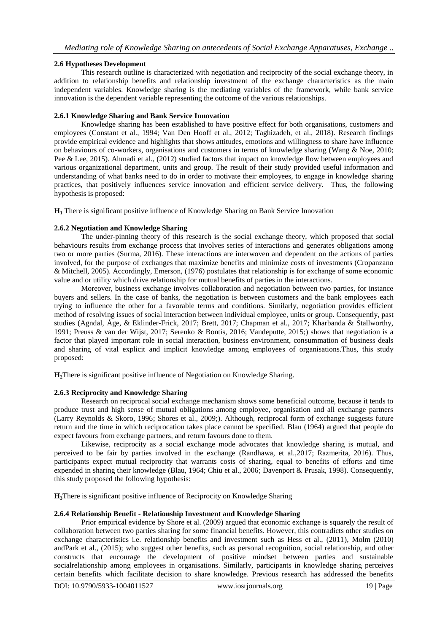## **2.6 Hypotheses Development**

This research outline is characterized with negotiation and reciprocity of the social exchange theory, in addition to relationship benefits and relationship investment of the exchange characteristics as the main independent variables. Knowledge sharing is the mediating variables of the framework, while bank service innovation is the dependent variable representing the outcome of the various relationships.

## **2.6.1 Knowledge Sharing and Bank Service Innovation**

Knowledge sharing has been established to have positive effect for both organisations, customers and employees (Constant et al., 1994; Van Den Hooff et al., 2012; Taghizadeh, et al., 2018). Research findings provide empirical evidence and highlights that shows attitudes, emotions and willingness to share have influence on behaviours of co-workers, organisations and customers in terms of knowledge sharing (Wang & Noe, 2010; Pee & Lee, 2015). Ahmadi et al., (2012) studied factors that impact on knowledge flow between employees and various organizational department, units and group. The result of their study provided useful information and understanding of what banks need to do in order to motivate their employees, to engage in knowledge sharing practices, that positively influences service innovation and efficient service delivery. Thus, the following hypothesis is proposed:

**H<sup>1</sup>** There is significant positive influence of Knowledge Sharing on Bank Service Innovation

## **2.6.2 Negotiation and Knowledge Sharing**

The under-pinning theory of this research is the social exchange theory, which proposed that social behaviours results from exchange process that involves series of interactions and generates obligations among two or more parties (Surma, 2016). These interactions are interwoven and dependent on the actions of parties involved, for the purpose of exchanges that maximize benefits and minimize costs of investments (Cropanzano & Mitchell, 2005). Accordingly, Emerson, (1976) postulates that relationship is for exchange of some economic value and or utility which drive relationship for mutual benefits of parties in the interactions.

Moreover, business exchange involves collaboration and negotiation between two parties, for instance buyers and sellers. In the case of banks, the negotiation is between customers and the bank employees each trying to influence the other for a favorable terms and conditions. Similarly, negotiation provides efficient method of resolving issues of social interaction between individual employee, units or group. Consequently, past studies (Agndal, Åge, & Eklinder-Frick, 2017; Brett, 2017; Chapman et al., 2017; Kharbanda & Stallworthy, 1991; Preuss & van der Wijst, 2017; Serenko & Bontis, 2016; Vandeputte, 2015;) shows that negotiation is a factor that played important role in social interaction, business environment, consummation of business deals and sharing of vital explicit and implicit knowledge among employees of organisations.Thus, this study proposed:

**H2**There is significant positive influence of Negotiation on Knowledge Sharing.

## **2.6.3 Reciprocity and Knowledge Sharing**

Research on reciprocal social exchange mechanism shows some beneficial outcome, because it tends to produce trust and high sense of mutual obligations among employee, organisation and all exchange partners (Larry Reynolds & Skoro, 1996; Shores et al., 2009;). Although, reciprocal form of exchange suggests future return and the time in which reciprocation takes place cannot be specified. Blau (1964) argued that people do expect favours from exchange partners, and return favours done to them.

Likewise, reciprocity as a social exchange mode advocates that knowledge sharing is mutual, and perceived to be fair by parties involved in the exchange (Randhawa, et al.,2017; Razmerita, 2016). Thus, participants expect mutual reciprocity that warrants costs of sharing, equal to benefits of efforts and time expended in sharing their knowledge (Blau, 1964; Chiu et al., 2006; Davenport & Prusak, 1998). Consequently, this study proposed the following hypothesis:

**H3**There is significant positive influence of Reciprocity on Knowledge Sharing

## **2.6.4 Relationship Benefit - Relationship Investment and Knowledge Sharing**

Prior empirical evidence by Shore et al. (2009) argued that economic exchange is squarely the result of collaboration between two parties sharing for some financial benefits. However, this contradicts other studies on exchange characteristics i.e. relationship benefits and investment such as Hess et al., (2011), Molm (2010) andPark et al., (2015); who suggest other benefits, such as personal recognition, social relationship, and other constructs that encourage the development of positive mindset between parties and sustainable socialrelationship among employees in organisations. Similarly, participants in knowledge sharing perceives certain benefits which facilitate decision to share knowledge. Previous research has addressed the benefits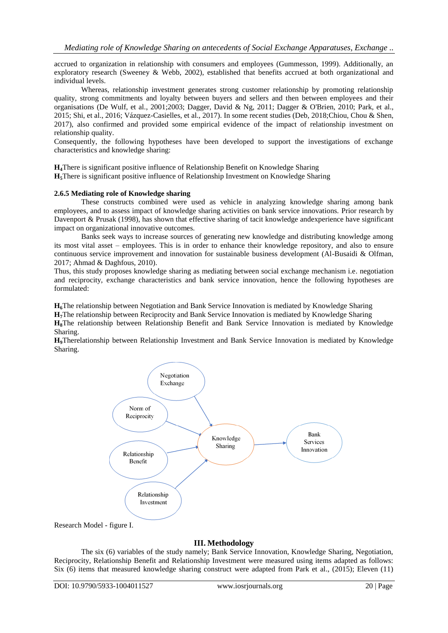accrued to organization in relationship with consumers and employees (Gummesson, 1999). Additionally, an exploratory research (Sweeney & Webb, 2002), established that benefits accrued at both organizational and individual levels.

Whereas, relationship investment generates strong customer relationship by promoting relationship quality, strong commitments and loyalty between buyers and sellers and then between employees and their organisations (De Wulf, et al., 2001;2003; Dagger, David & Ng, 2011; Dagger & O'Brien, 2010; Park, et al., 2015; Shi, et al., 2016; Vázquez-Casielles, et al., 2017). In some recent studies (Deb, 2018;Chiou, Chou & Shen, 2017), also confirmed and provided some empirical evidence of the impact of relationship investment on relationship quality.

Consequently, the following hypotheses have been developed to support the investigations of exchange characteristics and knowledge sharing:

**H4**There is significant positive influence of Relationship Benefit on Knowledge Sharing **H5**There is significant positive influence of Relationship Investment on Knowledge Sharing

#### **2.6.5 Mediating role of Knowledge sharing**

These constructs combined were used as vehicle in analyzing knowledge sharing among bank employees, and to assess impact of knowledge sharing activities on bank service innovations. Prior research by Davenport & Prusak (1998), has shown that effective sharing of tacit knowledge andexperience have significant impact on organizational innovative outcomes.

Banks seek ways to increase sources of generating new knowledge and distributing knowledge among its most vital asset – employees. This is in order to enhance their knowledge repository, and also to ensure continuous service improvement and innovation for sustainable business development (Al-Busaidi & Olfman, 2017; Ahmad & Daghfous, 2010).

Thus, this study proposes knowledge sharing as mediating between social exchange mechanism i.e. negotiation and reciprocity, exchange characteristics and bank service innovation, hence the following hypotheses are formulated:

**H6**The relationship between Negotiation and Bank Service Innovation is mediated by Knowledge Sharing

**H7**The relationship between Reciprocity and Bank Service Innovation is mediated by Knowledge Sharing **H8**The relationship between Relationship Benefit and Bank Service Innovation is mediated by Knowledge Sharing.

**H9**Therelationship between Relationship Investment and Bank Service Innovation is mediated by Knowledge Sharing.



Research Model - figure I.

## **III. Methodology**

The six (6) variables of the study namely; Bank Service Innovation, Knowledge Sharing, Negotiation, Reciprocity, Relationship Benefit and Relationship Investment were measured using items adapted as follows: Six (6) items that measured knowledge sharing construct were adapted from Park et al., (2015); Eleven (11)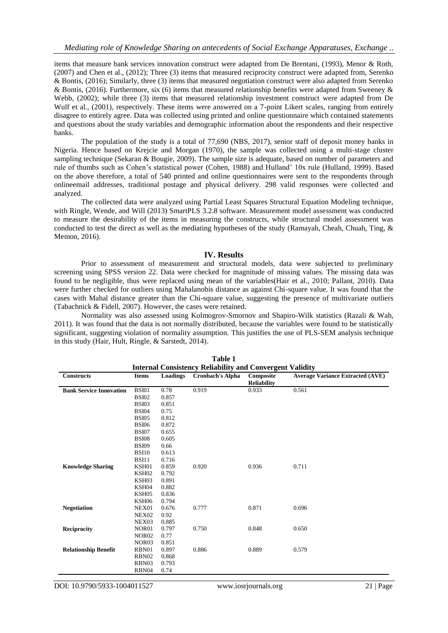items that measure bank services innovation construct were adapted from De Brentani, (1993), Menor & Roth, (2007) and Chen et al., (2012); Three (3) items that measured reciprocity construct were adapted from, Serenko & Bontis, (2016); Similarly, three (3) items that measured negotiation construct were also adapted from Serenko & Bontis, (2016). Furthermore, six (6) items that measured relationship benefits were adapted from Sweeney & Webb, (2002); while three (3) items that measured relationship investment construct were adapted from De Wulf et al., (2001), respectively. These items were answered on a 7-point Likert scales, ranging from entirely disagree to entirely agree. Data was collected using printed and online questionnaire which contained statements and questions about the study variables and demographic information about the respondents and their respective banks.

The population of the study is a total of 77,690 (NBS, 2017), senior staff of deposit money banks in Nigeria. Hence based on Krejcie and Morgan (1970), the sample was collected using a multi-stage cluster sampling technique (Sekaran & Bougie, 2009). The sample size is adequate, based on number of parameters and rule of thumbs such as Cohen's statistical power (Cohen, 1988) and Hulland' 10x rule (Hulland, 1999). Based on the above therefore, a total of 540 printed and online questionnaires were sent to the respondents through onlineemail addresses, traditional postage and physical delivery. 298 valid responses were collected and analyzed.

The collected data were analyzed using Partial Least Squares Structural Equation Modeling technique, with Ringle, Wende, and Will (2013) SmartPLS 3.2.8 software. Measurement model assessment was conducted to measure the desirability of the items in measuring the constructs, while structural model assessment was conducted to test the direct as well as the mediating hypotheses of the study (Ramayah, Cheah, Chuah, Ting, & Memon, 2016).

#### **IV. Results**

Prior to assessment of measurement and structural models, data were subjected to preliminary screening using SPSS version 22. Data were checked for magnitude of missing values. The missing data was found to be negligible, thus were replaced using mean of the variables(Hair et al., 2010; Pallant, 2010). Data were further checked for outliers using Mahalanobis distance as against Chi-square value. It was found that the cases with Mahal distance greater than the Chi-square value, suggesting the presence of multivariate outliers (Tabachnick & Fidell, 2007). However, the cases were retained.

Normality was also assessed using Kolmogrov-Smornov and Shapiro-Wilk statistics (Razali & Wah, 2011). It was found that the data is not normally distributed, because the variables were found to be statistically significant, suggesting violation of normality assumption. This justifies the use of PLS-SEM analysis technique in this study (Hair, Hult, Ringle, & Sarstedt, 2014).

| Table 1                                                         |                   |          |                         |                                 |                                         |  |  |  |
|-----------------------------------------------------------------|-------------------|----------|-------------------------|---------------------------------|-----------------------------------------|--|--|--|
| <b>Internal Consistency Reliability and Convergent Validity</b> |                   |          |                         |                                 |                                         |  |  |  |
| <b>Constructs</b>                                               | <b>Items</b>      | Loadings | <b>Cronbach's Alpha</b> | Composite<br><b>Reliability</b> | <b>Average Variance Extracted (AVE)</b> |  |  |  |
| <b>Bank Service Innovation</b>                                  | <b>BSI01</b>      | 0.78     | 0.919                   | 0.933                           | 0.561                                   |  |  |  |
|                                                                 | <b>BSI02</b>      | 0.857    |                         |                                 |                                         |  |  |  |
|                                                                 | <b>BSI03</b>      | 0.851    |                         |                                 |                                         |  |  |  |
|                                                                 | <b>BSI04</b>      | 0.75     |                         |                                 |                                         |  |  |  |
|                                                                 | <b>BSI05</b>      | 0.812    |                         |                                 |                                         |  |  |  |
|                                                                 | <b>BSI06</b>      | 0.872    |                         |                                 |                                         |  |  |  |
|                                                                 | <b>BSI07</b>      | 0.655    |                         |                                 |                                         |  |  |  |
|                                                                 | <b>BSI08</b>      | 0.605    |                         |                                 |                                         |  |  |  |
|                                                                 | <b>BSI09</b>      | 0.66     |                         |                                 |                                         |  |  |  |
|                                                                 | <b>BSI10</b>      | 0.613    |                         |                                 |                                         |  |  |  |
|                                                                 | <b>BSI11</b>      | 0.716    |                         |                                 |                                         |  |  |  |
| <b>Knowledge Sharing</b>                                        | KSH01             | 0.859    | 0.920                   | 0.936                           | 0.711                                   |  |  |  |
|                                                                 | KSH02             | 0.792    |                         |                                 |                                         |  |  |  |
|                                                                 | KSH03             | 0.891    |                         |                                 |                                         |  |  |  |
|                                                                 | KSH04             | 0.882    |                         |                                 |                                         |  |  |  |
|                                                                 | KSH <sub>05</sub> | 0.836    |                         |                                 |                                         |  |  |  |
|                                                                 | KSH06             | 0.794    |                         |                                 |                                         |  |  |  |
| <b>Negotiation</b>                                              | NEX01             | 0.676    | 0.777                   | 0.871                           | 0.696                                   |  |  |  |
|                                                                 | NEX <sub>02</sub> | 0.92     |                         |                                 |                                         |  |  |  |
|                                                                 | NEX03             | 0.885    |                         |                                 |                                         |  |  |  |
| Reciprocity                                                     | NOR01             | 0.797    | 0.750                   | 0.848                           | 0.650                                   |  |  |  |
|                                                                 | <b>NOR02</b>      | 0.77     |                         |                                 |                                         |  |  |  |
|                                                                 | NOR <sub>03</sub> | 0.851    |                         |                                 |                                         |  |  |  |
| <b>Relationship Benefit</b>                                     | RBN01             | 0.897    | 0.886                   | 0.889                           | 0.579                                   |  |  |  |
|                                                                 | RBN02             | 0.868    |                         |                                 |                                         |  |  |  |
|                                                                 | RBN03             | 0.793    |                         |                                 |                                         |  |  |  |
|                                                                 | RBN04             | 0.74     |                         |                                 |                                         |  |  |  |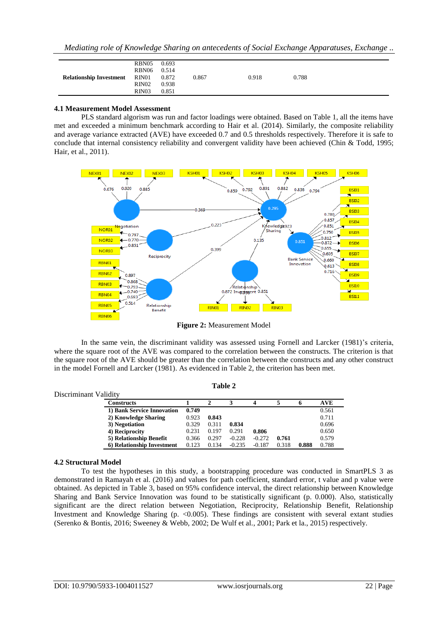| 0.693<br>0.514<br>0.872<br>0.918<br>0.788<br>0.867<br>0.938<br>0.851 | RBN05<br>RBN06<br>RIN <sub>01</sub><br><b>Relationship Investment</b><br>RIN02<br>RIN03 |
|----------------------------------------------------------------------|-----------------------------------------------------------------------------------------|
|----------------------------------------------------------------------|-----------------------------------------------------------------------------------------|

#### **4.1 Measurement Model Assessment**

PLS standard algorism was run and factor loadings were obtained. Based on Table 1, all the items have met and exceeded a minimum benchmark according to Hair et al. (2014). Similarly, the composite reliability and average variance extracted (AVE) have exceeded 0.7 and 0.5 thresholds respectively. Therefore it is safe to conclude that internal consistency reliability and convergent validity have been achieved (Chin & Todd, 1995; Hair, et al., 2011).



**Figure 2:** Measurement Model

In the same vein, the discriminant validity was assessed using Fornell and Larcker (1981)'s criteria, where the square root of the AVE was compared to the correlation between the constructs. The criterion is that the square root of the AVE should be greater than the correlation between the constructs and any other construct in the model Fornell and Larcker (1981). As evidenced in Table 2, the criterion has been met.

| Discriminant Validity |                            |       |       |          |          |       |       |       |
|-----------------------|----------------------------|-------|-------|----------|----------|-------|-------|-------|
|                       | Constructs                 |       |       |          |          |       | o     | AVE   |
|                       | 1) Bank Service Innovation | 0.749 |       |          |          |       |       | 0.561 |
|                       | 2) Knowledge Sharing       | 0.923 | 0.843 |          |          |       |       | 0.711 |
|                       | 3) Negotiation             | 0.329 | 0.311 | 0.834    |          |       |       | 0.696 |
|                       | 4) Reciprocity             | 0.231 | 0.197 | 0.291    | 0.806    |       |       | 0.650 |
|                       | 5) Relationship Benefit    | 0.366 | 0.297 | $-0.228$ | $-0.272$ | 0.761 |       | 0.579 |
|                       | 6) Relationship Investment | 0.123 | 0.134 | $-0.235$ | $-0.187$ | 0.318 | 0.888 | 0.788 |

**Table 2**

# **4.2 Structural Model**

To test the hypotheses in this study, a bootstrapping procedure was conducted in SmartPLS 3 as demonstrated in Ramayah et al. (2016) and values for path coefficient, standard error, t value and p value were obtained. As depicted in Table 3, based on 95% confidence interval, the direct relationship between Knowledge Sharing and Bank Service Innovation was found to be statistically significant (p. 0.000). Also, statistically significant are the direct relation between Negotiation, Reciprocity, Relationship Benefit, Relationship Investment and Knowledge Sharing (p.  $\leq 0.005$ ). These findings are consistent with several extant studies (Serenko & Bontis, 2016; Sweeney & Webb, 2002; De Wulf et al., 2001; Park et la., 2015) respectively.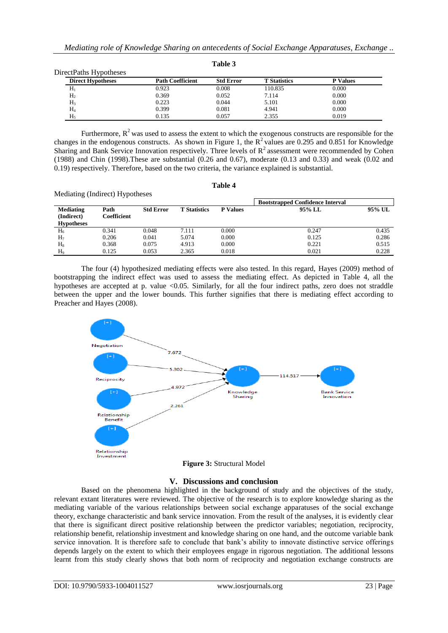**Table 3**

| <b>Direct Hypotheses</b> | <b>Path Coefficient</b> | <b>Std Error</b> | <b>T</b> Statistics | <b>P</b> Values |
|--------------------------|-------------------------|------------------|---------------------|-----------------|
| $\rm H_{i}$              | 0.923                   | 0.008            | 110.835             | 0.000           |
| H <sub>2</sub>           | 0.369                   | 0.052            | 7.114               | 0.000           |
| H <sub>3</sub>           | 0.223                   | 0.044            | 5.101               | 0.000           |
| $\rm{H}_{4}$             | 0.399                   | 0.081            | 4.941               | 0.000           |
| $H_5$                    | 0.135                   | 0.057            | 2.355               | 0.019           |

Furthermore,  $R^2$  was used to assess the extent to which the exogenous constructs are responsible for the changes in the endogenous constructs. As shown in Figure 1, the  $R^2$  values are 0.295 and 0.851 for Knowledge Sharing and Bank Service Innovation respectively. Three levels of  $R<sup>2</sup>$  assessment were recommended by Cohen (1988) and Chin (1998).These are substantial (0.26 and 0.67), moderate (0.13 and 0.33) and weak (0.02 and 0.19) respectively. Therefore, based on the two criteria, the variance explained is substantial.

#### **Table 4**

| inconduing (interact) if y pounds os                |                     |                  |                     |                 | <b>Bootstrapped Confidence Interval</b> |        |
|-----------------------------------------------------|---------------------|------------------|---------------------|-----------------|-----------------------------------------|--------|
| <b>Mediating</b><br>(Indirect)<br><b>Hypotheses</b> | Path<br>Coefficient | <b>Std Error</b> | <b>T</b> Statistics | <b>P</b> Values | 95% LL                                  | 95% UL |
| $\rm H_6$                                           | 0.341               | 0.048            | 7.111               | 0.000           | 0.247                                   | 0.435  |
| H <sub>7</sub>                                      | 0.206               | 0.041            | 5.074               | 0.000           | 0.125                                   | 0.286  |
| $H_8$                                               | 0.368               | 0.075            | 4.913               | 0.000           | 0.221                                   | 0.515  |
| H۰                                                  | 0.125               | 0.053            | 2.365               | 0.018           | 0.021                                   | 0.228  |

The four (4) hypothesized mediating effects were also tested. In this regard, Hayes (2009) method of bootstrapping the indirect effect was used to assess the mediating effect. As depicted in Table 4, all the hypotheses are accepted at p. value <0.05. Similarly, for all the four indirect paths, zero does not straddle between the upper and the lower bounds. This further signifies that there is mediating effect according to Preacher and Hayes (2008).



## **Figure 3:** Structural Model

#### **V. Discussions and conclusion**

Based on the phenomena highlighted in the background of study and the objectives of the study, relevant extant literatures were reviewed. The objective of the research is to explore knowledge sharing as the mediating variable of the various relationships between social exchange apparatuses of the social exchange theory, exchange characteristic and bank service innovation. From the result of the analyses, it is evidently clear that there is significant direct positive relationship between the predictor variables; negotiation, reciprocity, relationship benefit, relationship investment and knowledge sharing on one hand, and the outcome variable bank service innovation. It is therefore safe to conclude that bank's ability to innovate distinctive service offerings depends largely on the extent to which their employees engage in rigorous negotiation. The additional lessons learnt from this study clearly shows that both norm of reciprocity and negotiation exchange constructs are

Mediating (Indirect) Hypotheses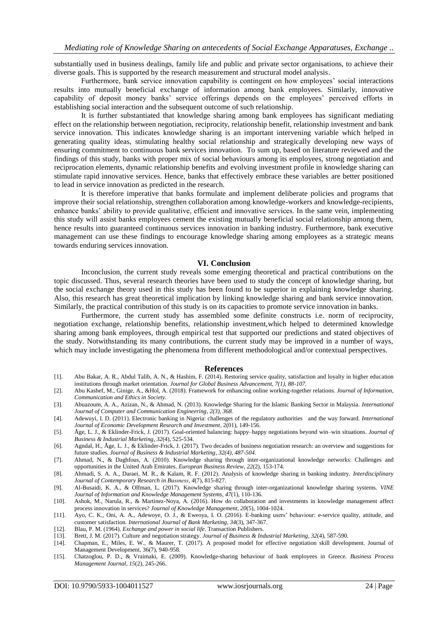substantially used in business dealings, family life and public and private sector organisations, to achieve their diverse goals. This is supported by the research measurement and structural model analysis.

Furthermore, bank service innovation capability is contingent on how employees' social interactions results into mutually beneficial exchange of information among bank employees. Similarly, innovative capability of deposit money banks' service offerings depends on the employees' perceived efforts in establishing social interaction and the subsequent outcome of such relationship.

It is further substantiated that knowledge sharing among bank employees has significant mediating effect on the relationship between negotiation, reciprocity, relationship benefit, relationship investment and bank service innovation. This indicates knowledge sharing is an important intervening variable which helped in generating quality ideas, stimulating healthy social relationship and strategically developing new ways of ensuring commitment to continuous bank services innovation. To sum up, based on literature reviewed and the findings of this study, banks with proper mix of social behaviours among its employees, strong negotiation and reciprocation elements, dynamic relationship benefits and evolving investment profile in knowledge sharing can stimulate rapid innovative services. Hence, banks that effectively embrace these variables are better positioned to lead in service innovation as predicted in the research.

It is therefore imperative that banks formulate and implement deliberate policies and programs that improve their social relationship, strengthen collaboration among knowledge-workers and knowledge-recipients, enhance banks' ability to provide qualitative, efficient and innovative services. In the same vein, implementing this study will assist banks employees cement the existing mutually beneficial social relationship among them, hence results into guaranteed continuous services innovation in banking industry. Furthermore, bank executive management can use these findings to encourage knowledge sharing among employees as a strategic means towards enduring services innovation.

#### **VI. Conclusion**

Inconclusion, the current study reveals some emerging theoretical and practical contributions on the topic discussed. Thus, several research theories have been used to study the concept of knowledge sharing, but the social exchange theory used in this study has been found to be superior in explaining knowledge sharing. Also, this research has great theoretical implication by linking knowledge sharing and bank service innovation. Similarly, the practical contribution of this study is on its capacities to promote service innovation in banks.

Furthermore, the current study has assembled some definite constructs i.e. norm of reciprocity, negotiation exchange, relationship benefits, relationship investment,which helped to determined knowledge sharing among bank employees, through empirical test that supported our predictions and stated objectives of the study. Notwithstanding its many contributions, the current study may be improved in a number of ways, which may include investigating the phenomena from different methodological and/or contextual perspectives.

#### **References**

- [1]. Abu Bakar, A. R., Abdul Talib, A. N., & Hashim, F. (2014). Restoring service quality, satisfaction and loyalty in higher education institutions through market orientation. *Journal for Global Business Advancement, 7(1), 88-107.*
- [2]. Abu Kashef, M., Ginige, A., &Hol, A. (2018). Framework for enhancing online working-together relations. *Journal of Information, Communication and Ethics in Society*.
- [3]. Abuazoum, A. A., Azizan, N., & Ahmad, N. (2013). Knowledge Sharing for the Islamic Banking Sector in Malaysia. *International Journal of Computer and Communication Engineering*, *2(3), 368.*
- [4]. Adewuyi, I. D. (2011). Electronic banking in Nigeria: challenges of the regulatory authorities and the way forward. *International Journal of Economic Development Research and Investment*, 2(01), 149-156.
- [5]. Åge, L. J., & Eklinder-Frick, J. (2017). Goal-oriented balancing: happy–happy negotiations beyond win–win situations. *Journal of Business & Industrial Marketing*, *32*(4), 525-534.
- [6]. Agndal, H., Åge, L. J., & Eklinder-Frick, J. (2017). Two decades of business negotiation research: an overview and suggestions for future studies. *Journal of Business & Industrial Marketing, 32(4), 487-504*.
- [7]. Ahmad, N., & Daghfous, A. (2010). Knowledge sharing through inter-organizational knowledge networks: Challenges and opportunities in the United Arab Emirates. *European Business Review*, *22*(2), 153-174.
- [8]. Ahmadi, S. A. A., Daraei, M. R., & Kalam, R. F. (2012). Analysis of knowledge sharing in banking industry. *Interdisciplinary Journal of Contemporary Research in Busıness*, *4*(7), 815-827.
- [9]. Al-Busaidi, K. A., & Olfman, L. (2017). Knowledge sharing through inter-organizational knowledge sharing systems. *VINE Journal of Information and Knowledge Management Systems*, *47*(1), 110-136.
- [10]. Ashok, M., Narula, R., & Martinez-Noya, A. (2016). How do collaboration and investments in knowledge management affect process innovation in services? *Journal of Knowledge Management*, *20*(5), 1004-1024.
- [11]. Ayo, C. K., Oni, A. A., Adewoye, O. J., & Eweoya, I. O. (2016). E-banking users' behaviour: e-service quality, attitude, and customer satisfaction. *International Journal of Bank Marketing*, *34*(3), 347-367.
- [12]. Blau, P. M. (1964). *Exchange and power in social life*. Transaction Publishers.
- [13]. Brett, J. M. (2017). Culture and negotiation strategy. *Journal of Business & Industrial Marketing*, *32*(4), 587-590.
- [14]. Chapman, E., Miles, E. W., & Maurer, T. (2017). A proposed model for effective negotiation skill development. Journal of Management Development, 36(7), 940-958.
- [15]. Chatzoglou, P. D., & Vraimaki, E. (2009). Knowledge-sharing behaviour of bank employees in Greece. *Business Process Management Journal*, *15*(2), 245-266.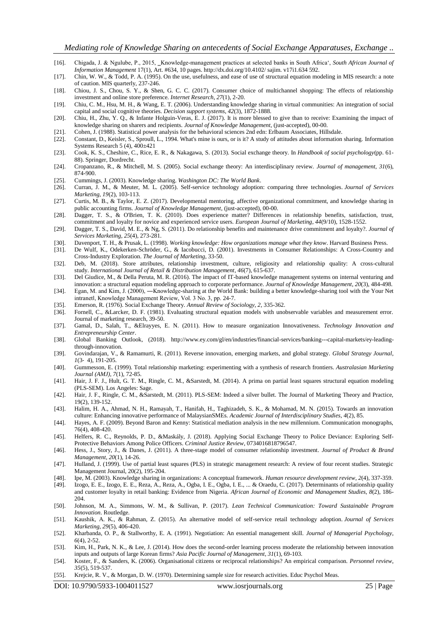- [16]. Chigada, J. & Ngulube, P., 2015, ‗Knowledge-management practices at selected banks in South Africa', *South African Journal of Information Management* 17(1), Art. #634, 10 pages. http://dx.doi.org/10.4102/ sajim. v17i1.634 592.
- [17]. Chin, W. W., & Todd, P. A. (1995). On the use, usefulness, and ease of use of structural equation modeling in MIS research: a note of caution. MIS quarterly, 237-246.
- [18]. Chiou, J. S., Chou, S. Y., & Shen, G. C. C. (2017). Consumer choice of multichannel shopping: The effects of relationship investment and online store preference. *Internet Research*, *27*(1), 2-20.
- [19]. Chiu, C. M., Hsu, M. H., & Wang, E. T. (2006). Understanding knowledge sharing in virtual communities: An integration of social capital and social cognitive theories. *Decision support systems*, *42*(3), 1872-1888.
- [20]. Chiu, H., Zhu, Y. Q., & Infante Holguin-Veras, E. J. (2017). It is more blessed to give than to receive: Examining the impact of knowledge sharing on sharers and recipients. *Journal of Knowledge Management*, (just-accepted), 00-00.
- [21]. Cohen, J. (1988). Statistical power analysis for the behavioral sciences 2nd edn: Erlbaum Associates, Hillsdale.
- [22]. Constant, D., Keisler, S., Sproull, L., 1994. What's mine is ours, or is it? A study of attitudes about information sharing. Information Systems Research 5 (4),  $400\pm421$
- [23]. Cook, K. S., Cheshire, C., Rice, E. R., & Nakagawa, S. (2013). Social exchange theory. In *Handbook of social psychology*(pp. 61- 88). Springer, Dordrecht.
- [24]. Cropanzano, R., & Mitchell, M. S. (2005). Social exchange theory: An interdisciplinary review. *Journal of management*, *31*(6), 874-900.
- [25]. Cummings, J. (2003). Knowledge sharing. *Washington DC: The World Bank*.
- [26]. Curran, J. M., & Meuter, M. L. (2005). Self-service technology adoption: comparing three technologies. *Journal of Services Marketing*, *19*(2), 103-113.
- [27]. Curtis, M. B., & Taylor, E. Z. (2017). Developmental mentoring, affective organizational commitment, and knowledge sharing in public accounting firms. *Journal of Knowledge Management*, (just-accepted), 00-00.
- [28]. Dagger, T. S., & O'Brien, T. K. (2010). Does experience matter? Differences in relationship benefits, satisfaction, trust, commitment and loyalty for novice and experienced service users. *European Journal of Marketing*, *44*(9/10), 1528-1552.
- [29]. Dagger, T. S., David, M. E., & Ng, S. (2011). Do relationship benefits and maintenance drive commitment and loyalty?. *Journal of Services Marketing*, *25*(4), 273-281.
- [30]. Davenport, T. H., & Prusak, L. (1998). *Working knowledge: How organizations manage what they know*. Harvard Business Press.
- [31]. De Wulf, K., Odekerken-Schröder, G., & Iacobucci, D. (2001). Investments in Consumer Relationships: A Cross-Country and Cross-Industry Exploration. *The Journal of Marketing*, 33-50.
- [32]. Deb, M. (2018). Store attributes, relationship investment, culture, religiosity and relationship quality: A cross-cultural study. *International Journal of Retail & Distribution Management*, *46*(7), 615-637.
- [33]. Del Giudice, M., & Della Peruta, M. R. (2016). The impact of IT-based knowledge management systems on internal venturing and innovation: a structural equation modeling approach to corporate performance. *Journal of Knowledge Management*, *20*(3), 484-498.
- [34]. Egan, M. and Kim, J. (2000), ―Knowledge-sharing at the World Bank: building a better knowledge-sharing tool with the Your Net intranetl, Knowledge Management Review, Vol. 3 No. 3, pp. 24-7.
- [35]. Emerson, R. (1976). Social Exchange Theory. *Annual Review of Sociology, 2*, 335-362.
- [36]. Fornell, C., &Larcker, D. F. (1981). Evaluating structural equation models with unobservable variables and measurement error. Journal of marketing research, 39-50.
- [37]. Gamal, D., Salah, T., &Elrayyes, E. N. (2011). How to measure organization Innovativeness. *Technology Innovation and Entrepreneurship Center*.
- [38]. Global Banking Outlook, (2018). http://www.ey.com/gl/en/industries/financial-services/banking---capital-markets/ey-leadingthrough-innovation.
- [39]. Govindarajan, V., & Ramamurti, R. (2011). Reverse innovation, emerging markets, and global strategy. *Global Strategy Journal*, *1*(3‐ 4), 191-205.
- [40]. Gummesson, E. (1999). Total relationship marketing: experimenting with a synthesis of research frontiers. *Australasian Marketing Journal (AMJ)*, *7*(1), 72-85.
- [41]. Hair, J. F. J., Hult, G. T. M., Ringle, C. M., &Sarstedt, M. (2014). A prima on partial least squares structural equation modeling (PLS-SEM). Los Angeles: Sage.
- [42]. Hair, J. F., Ringle, C. M., &Sarstedt, M. (2011). PLS-SEM: Indeed a silver bullet. The Journal of Marketing Theory and Practice, 19(2), 139-152.
- [43]. Halim, H. A., Ahmad, N. H., Ramayah, T., Hanifah, H., Taghizadeh, S. K., & Mohamad, M. N. (2015). Towards an innovation culture: Enhancing innovative performance of MalaysianSMEs. *Academic Journal of Interdisciplinary Studies*, *4*(2), 85.
- [44]. Hayes, A. F. (2009). Beyond Baron and Kenny: Statistical mediation analysis in the new millennium. Communication monographs, 76(4), 408-420.
- [45]. Helfers, R. C., Reynolds, P. D., &Maskály, J. (2018). Applying Social Exchange Theory to Police Deviance: Exploring Self-Protective Behaviors Among Police Officers. *Criminal Justice Review*, 0734016818796547.
- [46]. Hess, J., Story, J., & Danes, J. (2011). A three-stage model of consumer relationship investment. *Journal of Product & Brand Management*, *20*(1), 14-26.
- [47]. Hulland, J. (1999). Use of partial least squares (PLS) in strategic management research: A review of four recent studies. Strategic Management Journal, 20(2), 195-204.
- [48]. Ipe, M. (2003). Knowledge sharing in organizations: A conceptual framework. *Human resource development review*, *2*(4), 337-359.
- [49]. Izogo, E. E., Izogo, E. E., Reza, A., Reza, A., Ogba, I. E., Ogba, I. E., ... & Oraedu, C. (2017). Determinants of relationship quality and customer loyalty in retail banking: Evidence from Nigeria. *African Journal of Economic and Management Studies*, *8*(2), 186- 204.
- [50]. Johnson, M. A., Simmons, W. M., & Sullivan, P. (2017). *Lean Technical Communication: Toward Sustainable Program Innovation*. Routledge.
- [51]. Kaushik, A. K., & Rahman, Z. (2015). An alternative model of self-service retail technology adoption. *Journal of Services Marketing*, *29*(5), 406-420.
- [52]. Kharbanda, O. P., & Stallworthy, E. A. (1991). Negotiation: An essential management skill. *Journal of Managerial Psychology*, *6*(4), 2-52.
- [53]. Kim, H., Park, N. K., & Lee, J. (2014). How does the second-order learning process moderate the relationship between innovation inputs and outputs of large Korean firms? *Asia Pacific Journal of Management*, *31*(1), 69-103.
- [54]. Koster, F., & Sanders, K. (2006). Organisational citizens or reciprocal relationships? An empirical comparison. *Personnel review*, *35*(5), 519-537.
- [55]. Krejcie, R. V., & Morgan, D. W. (1970). Determining sample size for research activities. Educ Psychol Meas.

DOI: 10.9790/5933-1004011527 www.iosrjournals.org 25 | Page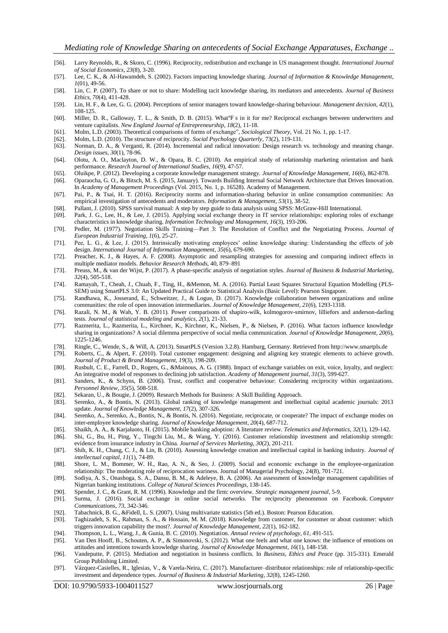- [56]. Larry Reynolds, R., & Skoro, C. (1996). Reciprocity, redistribution and exchange in US management thought. *International Journal of Social Economics*, *23*(8), 3-20.
- [57]. Lee, C. K., & Al-Hawamdeh, S. (2002). Factors impacting knowledge sharing. *Journal of Information & Knowledge Management*, *1*(01), 49-56.
- [58]. Lin, C. P. (2007). To share or not to share: Modelling tacit knowledge sharing, its mediators and antecedents. *Journal of Business Ethics*, *70*(4), 411-428.
- [59]. Lin, H. F., & Lee, G. G. (2004). Perceptions of senior managers toward knowledge-sharing behaviour. *Management decision*, *42*(1), 108-125.
- [60]. Miller, D. R., Galloway, T. L., & Smith, D. B. (2015). What°F s in it for me? Reciprocal exchanges between underwriters and venture capitalists. *New England Journal of Entrepreneurship*, *18*(2), 11-18.
- [61]. Molm, L.D. (2003). Theoretical comparisons of forms of exchange", *Sociological Theory*, Vol. 21 No. 1, pp. 1-17.
- [62]. Molm, L.D. (2010). The structure of reciprocity. *Social Psychology Quarterly*, 73(2), 119-131.
- [63]. Norman, D. A., & Verganti, R. (2014). Incremental and radical innovation: Design research vs. technology and meaning change. *Design issues*, *30*(1), 78-96.
- [64]. Olotu, A. O., Maclayton, D. W., & Opara, B. C. (2010). An empirical study of relationship marketing orientation and bank performance. *Research Journal of International Studies*, *16*(9), 47-57.
- [65]. Oluikpe, P. (2012). Developing a corporate knowledge management strategy. *Journal of Knowledge Management*, *16*(6), 862-878.
- [66]. Oparaocha, G. O., & Bitsch, M. S. (2015, January). Towards Building Internal Social Network Architecture that Drives Innovation. In *Academy of Management Proceedings* (Vol. 2015, No. 1, p. 16528). Academy of Management.
- [67]. Pai, P., & Tsai, H. T. (2016). Reciprocity norms and information-sharing behavior in online consumption communities: An empirical investigation of antecedents and moderators. *Information & Management*, *53*(1), 38-52.
- [68]. Pallant, J. (2010). SPSS survival manual: A step by step guide to data analysis using SPSS: McGraw-Hill International.
- [69]. Park, J. G., Lee, H., & Lee, J. (2015). Applying social exchange theory in IT service relationships: exploring roles of exchange characteristics in knowledge sharing. *Information Technology and Management*, *16*(3), 193-206.
- [70]. Pedler, M. (1977). Negotiation Skills Training—Part 3: The Resolution of Conflict and the Negotiating Process. *Journal of European Industrial Training*, *1*(6), 25-27.
- [71]. Pee, L. G., & Lee, J. (2015). Intrinsically motivating employees' online knowledge sharing: Understanding the effects of job design. *International Journal of Information Management*, *35*(6), 679-690.
- [72]. Preacher, K. J., & Hayes, A. F. (2008). Asymptotic and resampling strategies for assessing and comparing indirect effects in multiple mediator models. *Behavior Research Methods*, 40, 879–891
- [73]. Preuss, M., & van der Wijst, P. (2017). A phase-specific analysis of negotiation styles. *Journal of Business & Industrial Marketing*, *32*(4), 505-518.
- [74]. Ramayah, T., Cheah, J., Chuah, F., Ting, H., &Memon, M. A. (2016). Partial Least Squares Structural Equation Modelling (PLS-SEM) using SmartPLS 3.0: An Updated Practical Guide to Statistical Analysis (Basic Level): Pearson Singapore.
- [75]. Randhawa, K., Josserand, E., Schweitzer, J., & Logue, D. (2017). Knowledge collaboration between organizations and online communities: the role of open innovation intermediaries. *Journal of Knowledge Management*, *21*(6), 1293-1318.
- [76]. Razali, N. M., & Wah, Y. B. (2011). Power comparisons of shapiro-wilk, kolmogorov-smirnov, lilliefors and anderson-darling tests. *Journal of statistical modeling and analytics*, *2*(1), 21-33.
- [77]. Razmerita, L., Razmerita, L., Kirchner, K., Kirchner, K., Nielsen, P., & Nielsen, P. (2016). What factors influence knowledge sharing in organizations? A social dilemma perspective of social media communication. *Journal of Knowledge Management*, *20*(6), 1225-1246.
- [78]. Ringle, C., Wende, S., & Will, A. (2013). SmartPLS (Version 3.2.8). Hamburg, Germany. Retrieved from http://www.smartpls.de
- [79]. Roberts, C., & Alpert, F. (2010). Total customer engagement: designing and aligning key strategic elements to achieve growth. *Journal of Product & Brand Management*, *19*(3), 198-209.
- [80]. Rusbult, C. E., Farrell, D., Rogers, G., &Mainous, A. G. (1988). Impact of exchange variables on exit, voice, loyalty, and neglect: An integrative model of responses to declining job satisfaction. *Academy of Management journal*, *31*(3), 599-627.
- [81]. Sanders, K., & Schyns, B. (2006). Trust, conflict and cooperative behaviour: Considering reciprocity within organizations. *Personnel Review*, *35*(5), 508-518.
- [82]. Sekaran, U., & Bougie, J. (2009). Research Methods for Business: A Skill Building Approach.
- [83]. Serenko, A., & Bontis, N. (2013). Global ranking of knowledge management and intellectual capital academic journals: 2013 update. *Journal of Knowledge Management*, *17*(2), 307-326.
- [84]. Serenko, A., Serenko, A., Bontis, N., & Bontis, N. (2016). Negotiate, reciprocate, or cooperate? The impact of exchange modes on inter-employee knowledge sharing. *Journal of Knowledge Management*, *20*(4), 687-712.
- [85]. Shaikh, A. A., & Karjaluoto, H. (2015). Mobile banking adoption: A literature review. *Telematics and Informatics*, *32*(1), 129-142.
- [86]. Shi, G., Bu, H., Ping, Y., Tingchi Liu, M., & Wang, Y. (2016). Customer relationship investment and relationship strength: evidence from insurance industry in China. *Journal of Services Marketing*, *30*(2), 201-211.
- [87]. Shih, K. H., Chang, C. J., & Lin, B. (2010). Assessing knowledge creation and intellectual capital in banking industry. *Journal of intellectual capital*, *11*(1), 74-89.
- [88]. Shore, L. M., Bommer, W. H., Rao, A. N., & Seo, J. (2009). Social and economic exchange in the employee-organization relationship: The moderating role of reciprocation wariness. Journal of Managerial Psychology, 24(8), 701-721.
- [89]. Sodiya, A. S., Onashoga, S. A., Dansu, B. M., & Adeleye, B. A. (2006). An assessment of knowledge management capabilities of Nigerian banking institutions. *College of Natural Sciences Proceedings*, 138-145.
- 
- [90]. Spender, J. C., & Grant, R. M. (1996). Knowledge and the firm: overview. *Strategic management journal*, 5-9. [91]. Surma, J. (2016). Social exchange in online social networks. The reciprocity phenomenon on Facebook. *Computer Communications*, *73*, 342-346.
- [92]. Tabachnick, B. G., &Fidell, L. S. (2007). Using multivariate statistics (5th ed.). Boston: Pearson Education.
- [93]. Taghizadeh, S. K., Rahman, S. A., & Hossain, M. M. (2018). Knowledge from customer, for customer or about customer: which triggers innovation capability the most?. *Journal of Knowledge Management*, *22*(1), 162-182.
- [94]. Thompson, L. L., Wang, J., & Gunia, B. C. (2010). Negotiation. *Annual review of psychology*, *61*, 491-515.
- [95]. Van Den Hooff, B., Schouten, A. P., & Simonovski, S. (2012). What one feels and what one knows: the influence of emotions on attitudes and intentions towards knowledge sharing. *Journal of Knowledge Management*, *16*(1), 148-158.
- [96]. Vandeputte, P. (2015). Mediation and negotiation in business conflicts. In *Business, Ethics and Peace* (pp. 315-331). Emerald Group Publishing Limited.
- [97]. Vázquez-Casielles, R., Iglesias, V., & Varela-Neira, C. (2017). Manufacturer–distributor relationships: role of relationship-specific investment and dependence types. *Journal of Business & Industrial Marketing*, *32*(8), 1245-1260.